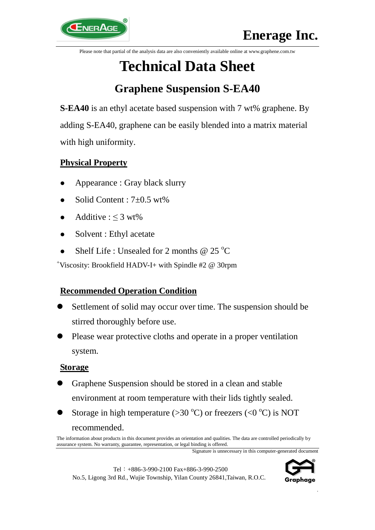Please note that partial of the analysis data are also conveniently available online at www.graphene.com.tw

# **Technical Data Sheet**

# **Graphene Suspension S-EA40**

**S-EA40** is an ethyl acetate based suspension with 7 wt% graphene. By adding S-EA40, graphene can be easily blended into a matrix material with high uniformity.

# **Physical Property**

- Appearance : Gray black slurry
- Solid Content : 7±0.5 wt%
- Additive :  $\leq$  3 wt%
- Solvent : Ethyl acetate
- Shelf Life : Unsealed for 2 months  $@ 25 °C$

<sup>+</sup>Viscosity: Brookfield HADV-I+ with Spindle #2 @ 30rpm

# **Recommended Operation Condition**

- Settlement of solid may occur over time. The suspension should be stirred thoroughly before use.
- Please wear protective cloths and operate in a proper ventilation system.

### **Storage**

- Graphene Suspension should be stored in a clean and stable environment at room temperature with their lids tightly sealed.
- Storage in high temperature ( $>30^{\circ}$ C) or freezers ( $< 0^{\circ}$ C) is NOT recommended.

Signature is unnecessary in this computer-generated document





.

The information about products in this document provides an orientation and qualities. The data are controlled periodically by assurance system. No warranty, guarantee, representation, or legal binding is offered.